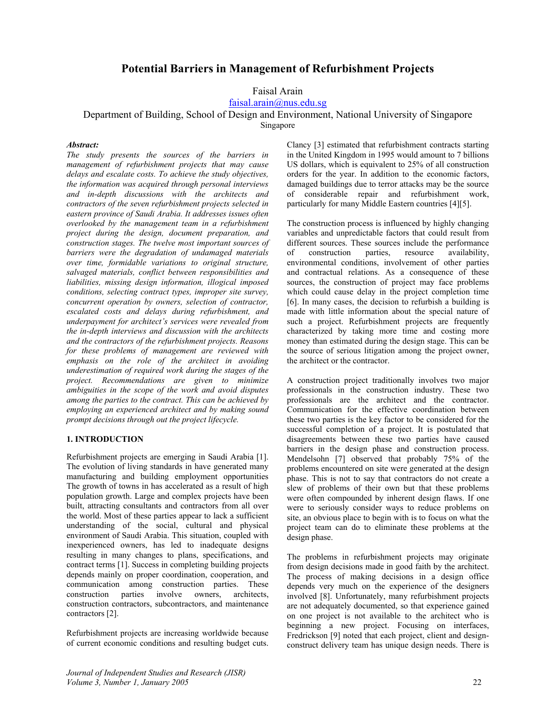# **Potential Barriers in Management of Refurbishment Projects**

Faisal Arain

faisal.arain@nus.edu.sg

Department of Building, School of Design and Environment, National University of Singapore

Singapore

## *Abstract:*

*The study presents the sources of the barriers in management of refurbishment projects that may cause delays and escalate costs. To achieve the study objectives, the information was acquired through personal interviews and in-depth discussions with the architects and contractors of the seven refurbishment projects selected in eastern province of Saudi Arabia. It addresses issues often overlooked by the management team in a refurbishment project during the design, document preparation, and construction stages. The twelve most important sources of barriers were the degradation of undamaged materials over time, formidable variations to original structure, salvaged materials, conflict between responsibilities and liabilities, missing design information, illogical imposed conditions, selecting contract types, improper site survey, concurrent operation by owners, selection of contractor, escalated costs and delays during refurbishment, and underpayment for architect's services were revealed from the in-depth interviews and discussion with the architects and the contractors of the refurbishment projects. Reasons for these problems of management are reviewed with emphasis on the role of the architect in avoiding underestimation of required work during the stages of the project. Recommendations are given to minimize ambiguities in the scope of the work and avoid disputes among the parties to the contract. This can be achieved by employing an experienced architect and by making sound prompt decisions through out the project lifecycle.* 

## **1. INTRODUCTION**

Refurbishment projects are emerging in Saudi Arabia [1]. The evolution of living standards in have generated many manufacturing and building employment opportunities The growth of towns in has accelerated as a result of high population growth. Large and complex projects have been built, attracting consultants and contractors from all over the world. Most of these parties appear to lack a sufficient understanding of the social, cultural and physical environment of Saudi Arabia. This situation, coupled with inexperienced owners, has led to inadequate designs resulting in many changes to plans, specifications, and contract terms [1]. Success in completing building projects depends mainly on proper coordination, cooperation, and communication among construction parties. These construction parties involve owners, architects, construction contractors, subcontractors, and maintenance contractors [2].

Refurbishment projects are increasing worldwide because of current economic conditions and resulting budget cuts.

*Journal of Independent Studies and Research (JISR) Volume 3, Number 1, January 2005* 22

Clancy [3] estimated that refurbishment contracts starting in the United Kingdom in 1995 would amount to 7 billions US dollars, which is equivalent to 25% of all construction orders for the year. In addition to the economic factors, damaged buildings due to terror attacks may be the source of considerable repair and refurbishment work, particularly for many Middle Eastern countries [4][5].

The construction process is influenced by highly changing variables and unpredictable factors that could result from different sources. These sources include the performance of construction parties, resource availability, environmental conditions, involvement of other parties and contractual relations. As a consequence of these sources, the construction of project may face problems which could cause delay in the project completion time [6]. In many cases, the decision to refurbish a building is made with little information about the special nature of such a project. Refurbishment projects are frequently characterized by taking more time and costing more money than estimated during the design stage. This can be the source of serious litigation among the project owner, the architect or the contractor.

A construction project traditionally involves two major professionals in the construction industry. These two professionals are the architect and the contractor. Communication for the effective coordination between these two parties is the key factor to be considered for the successful completion of a project. It is postulated that disagreements between these two parties have caused barriers in the design phase and construction process. Mendelsohn [7] observed that probably 75% of the problems encountered on site were generated at the design phase. This is not to say that contractors do not create a slew of problems of their own but that these problems were often compounded by inherent design flaws. If one were to seriously consider ways to reduce problems on site, an obvious place to begin with is to focus on what the project team can do to eliminate these problems at the design phase.

The problems in refurbishment projects may originate from design decisions made in good faith by the architect. The process of making decisions in a design office depends very much on the experience of the designers involved [8]. Unfortunately, many refurbishment projects are not adequately documented, so that experience gained on one project is not available to the architect who is beginning a new project. Focusing on interfaces, Fredrickson [9] noted that each project, client and designconstruct delivery team has unique design needs. There is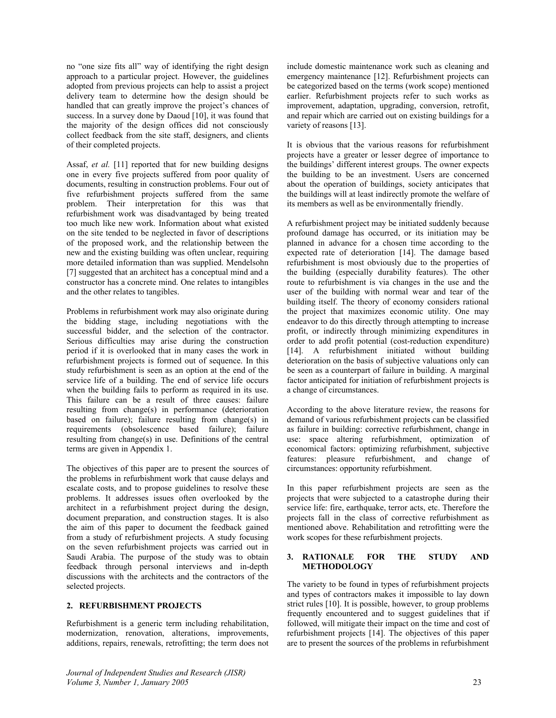no "one size fits all" way of identifying the right design approach to a particular project. However, the guidelines adopted from previous projects can help to assist a project delivery team to determine how the design should be handled that can greatly improve the project's chances of success. In a survey done by Daoud [10], it was found that the majority of the design offices did not consciously collect feedback from the site staff, designers, and clients of their completed projects.

Assaf, *et al.* [11] reported that for new building designs one in every five projects suffered from poor quality of documents, resulting in construction problems. Four out of five refurbishment projects suffered from the same problem. Their interpretation for this was that refurbishment work was disadvantaged by being treated too much like new work. Information about what existed on the site tended to be neglected in favor of descriptions of the proposed work, and the relationship between the new and the existing building was often unclear, requiring more detailed information than was supplied. Mendelsohn [7] suggested that an architect has a conceptual mind and a constructor has a concrete mind. One relates to intangibles and the other relates to tangibles.

Problems in refurbishment work may also originate during the bidding stage, including negotiations with the successful bidder, and the selection of the contractor. Serious difficulties may arise during the construction period if it is overlooked that in many cases the work in refurbishment projects is formed out of sequence. In this study refurbishment is seen as an option at the end of the service life of a building. The end of service life occurs when the building fails to perform as required in its use. This failure can be a result of three causes: failure resulting from change(s) in performance (deterioration based on failure); failure resulting from change(s) in requirements (obsolescence based failure); failure resulting from change(s) in use. Definitions of the central terms are given in Appendix 1.

The objectives of this paper are to present the sources of the problems in refurbishment work that cause delays and escalate costs, and to propose guidelines to resolve these problems. It addresses issues often overlooked by the architect in a refurbishment project during the design, document preparation, and construction stages. It is also the aim of this paper to document the feedback gained from a study of refurbishment projects. A study focusing on the seven refurbishment projects was carried out in Saudi Arabia. The purpose of the study was to obtain feedback through personal interviews and in-depth discussions with the architects and the contractors of the selected projects.

## **2. REFURBISHMENT PROJECTS**

Refurbishment is a generic term including rehabilitation, modernization, renovation, alterations, improvements, additions, repairs, renewals, retrofitting; the term does not

*Journal of Independent Studies and Research (JISR) Volume 3, Number 1, January 2005* 23

include domestic maintenance work such as cleaning and emergency maintenance [12]. Refurbishment projects can be categorized based on the terms (work scope) mentioned earlier. Refurbishment projects refer to such works as improvement, adaptation, upgrading, conversion, retrofit, and repair which are carried out on existing buildings for a variety of reasons [13].

It is obvious that the various reasons for refurbishment projects have a greater or lesser degree of importance to the buildings' different interest groups. The owner expects the building to be an investment. Users are concerned about the operation of buildings, society anticipates that the buildings will at least indirectly promote the welfare of its members as well as be environmentally friendly.

A refurbishment project may be initiated suddenly because profound damage has occurred, or its initiation may be planned in advance for a chosen time according to the expected rate of deterioration [14]. The damage based refurbishment is most obviously due to the properties of the building (especially durability features). The other route to refurbishment is via changes in the use and the user of the building with normal wear and tear of the building itself. The theory of economy considers rational the project that maximizes economic utility. One may endeavor to do this directly through attempting to increase profit, or indirectly through minimizing expenditures in order to add profit potential (cost-reduction expenditure) [14]. A refurbishment initiated without building deterioration on the basis of subjective valuations only can be seen as a counterpart of failure in building. A marginal factor anticipated for initiation of refurbishment projects is a change of circumstances.

According to the above literature review, the reasons for demand of various refurbishment projects can be classified as failure in building: corrective refurbishment, change in use: space altering refurbishment, optimization of economical factors: optimizing refurbishment, subjective features: pleasure refurbishment, and change of circumstances: opportunity refurbishment.

In this paper refurbishment projects are seen as the projects that were subjected to a catastrophe during their service life: fire, earthquake, terror acts, etc. Therefore the projects fall in the class of corrective refurbishment as mentioned above. Rehabilitation and retrofitting were the work scopes for these refurbishment projects.

## **3. RATIONALE FOR THE STUDY AND METHODOLOGY**

The variety to be found in types of refurbishment projects and types of contractors makes it impossible to lay down strict rules [10]. It is possible, however, to group problems frequently encountered and to suggest guidelines that if followed, will mitigate their impact on the time and cost of refurbishment projects [14]. The objectives of this paper are to present the sources of the problems in refurbishment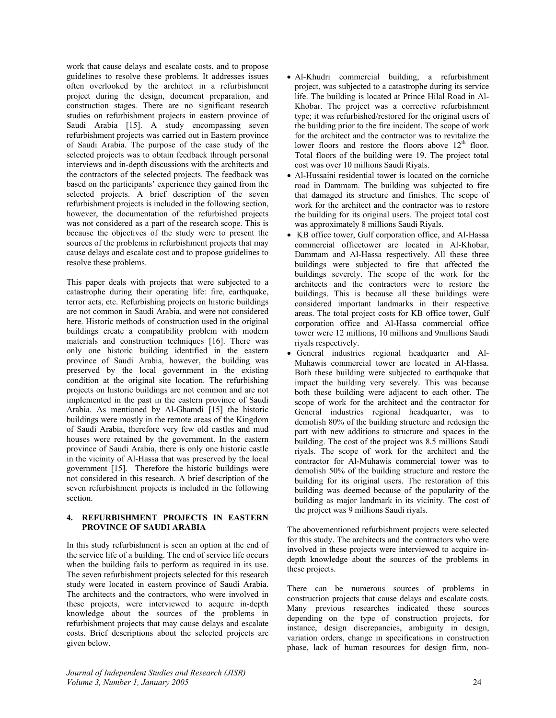work that cause delays and escalate costs, and to propose guidelines to resolve these problems. It addresses issues often overlooked by the architect in a refurbishment project during the design, document preparation, and construction stages. There are no significant research studies on refurbishment projects in eastern province of Saudi Arabia [15]. A study encompassing seven refurbishment projects was carried out in Eastern province of Saudi Arabia. The purpose of the case study of the selected projects was to obtain feedback through personal interviews and in-depth discussions with the architects and the contractors of the selected projects. The feedback was based on the participants' experience they gained from the selected projects. A brief description of the seven refurbishment projects is included in the following section, however, the documentation of the refurbished projects was not considered as a part of the research scope. This is because the objectives of the study were to present the sources of the problems in refurbishment projects that may cause delays and escalate cost and to propose guidelines to resolve these problems.

This paper deals with projects that were subjected to a catastrophe during their operating life: fire, earthquake, terror acts, etc. Refurbishing projects on historic buildings are not common in Saudi Arabia, and were not considered here. Historic methods of construction used in the original buildings create a compatibility problem with modern materials and construction techniques [16]. There was only one historic building identified in the eastern province of Saudi Arabia, however, the building was preserved by the local government in the existing condition at the original site location. The refurbishing projects on historic buildings are not common and are not implemented in the past in the eastern province of Saudi Arabia. As mentioned by Al-Ghamdi [15] the historic buildings were mostly in the remote areas of the Kingdom of Saudi Arabia, therefore very few old castles and mud houses were retained by the government. In the eastern province of Saudi Arabia, there is only one historic castle in the vicinity of Al-Hassa that was preserved by the local government [15]. Therefore the historic buildings were not considered in this research. A brief description of the seven refurbishment projects is included in the following section.

## **4. REFURBISHMENT PROJECTS IN EASTERN PROVINCE OF SAUDI ARABIA**

In this study refurbishment is seen an option at the end of the service life of a building. The end of service life occurs when the building fails to perform as required in its use. The seven refurbishment projects selected for this research study were located in eastern province of Saudi Arabia. The architects and the contractors, who were involved in these projects, were interviewed to acquire in-depth knowledge about the sources of the problems in refurbishment projects that may cause delays and escalate costs. Brief descriptions about the selected projects are given below.

- Al-Khudri commercial building, a refurbishment project, was subjected to a catastrophe during its service life. The building is located at Prince Hilal Road in Al-Khobar. The project was a corrective refurbishment type; it was refurbished/restored for the original users of the building prior to the fire incident. The scope of work for the architect and the contractor was to revitalize the lower floors and restore the floors above 12<sup>th</sup> floor. Total floors of the building were 19. The project total cost was over 10 millions Saudi Riyals.
- Al-Hussaini residential tower is located on the corniche road in Dammam. The building was subjected to fire that damaged its structure and finishes. The scope of work for the architect and the contractor was to restore the building for its original users. The project total cost was approximately 8 millions Saudi Riyals.
- KB office tower, Gulf corporation office, and Al-Hassa commercial officetower are located in Al-Khobar, Dammam and Al-Hassa respectively. All these three buildings were subjected to fire that affected the buildings severely. The scope of the work for the architects and the contractors were to restore the buildings. This is because all these buildings were considered important landmarks in their respective areas. The total project costs for KB office tower, Gulf corporation office and Al-Hassa commercial office tower were 12 millions, 10 millions and 9millions Saudi riyals respectively.
- General industries regional headquarter and Al-Muhawis commercial tower are located in Al-Hassa. Both these building were subjected to earthquake that impact the building very severely. This was because both these building were adjacent to each other. The scope of work for the architect and the contractor for General industries regional headquarter, was to demolish 80% of the building structure and redesign the part with new additions to structure and spaces in the building. The cost of the project was 8.5 millions Saudi riyals. The scope of work for the architect and the contractor for Al-Muhawis commercial tower was to demolish 50% of the building structure and restore the building for its original users. The restoration of this building was deemed because of the popularity of the building as major landmark in its vicinity. The cost of the project was 9 millions Saudi riyals.

The abovementioned refurbishment projects were selected for this study. The architects and the contractors who were involved in these projects were interviewed to acquire indepth knowledge about the sources of the problems in these projects.

There can be numerous sources of problems in construction projects that cause delays and escalate costs. Many previous researches indicated these sources depending on the type of construction projects, for instance, design discrepancies, ambiguity in design, variation orders, change in specifications in construction phase, lack of human resources for design firm, non-

*Journal of Independent Studies and Research (JISR) Volume 3, Number 1, January 2005* 24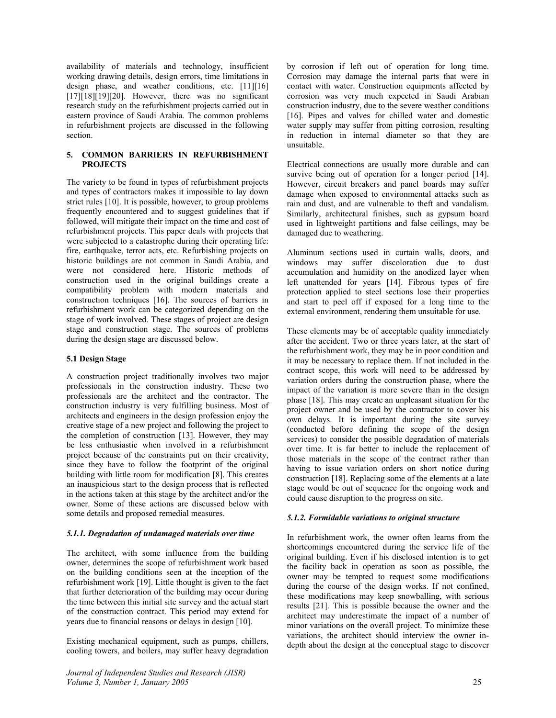availability of materials and technology, insufficient working drawing details, design errors, time limitations in design phase, and weather conditions, etc. [11][16]  $[17]$ [18][19][20]. However, there was no significant research study on the refurbishment projects carried out in eastern province of Saudi Arabia. The common problems in refurbishment projects are discussed in the following section.

## **5. COMMON BARRIERS IN REFURBISHMENT PROJECTS**

The variety to be found in types of refurbishment projects and types of contractors makes it impossible to lay down strict rules [10]. It is possible, however, to group problems frequently encountered and to suggest guidelines that if followed, will mitigate their impact on the time and cost of refurbishment projects. This paper deals with projects that were subjected to a catastrophe during their operating life: fire, earthquake, terror acts, etc. Refurbishing projects on historic buildings are not common in Saudi Arabia, and were not considered here. Historic methods of construction used in the original buildings create a compatibility problem with modern materials and construction techniques [16]. The sources of barriers in refurbishment work can be categorized depending on the stage of work involved. These stages of project are design stage and construction stage. The sources of problems during the design stage are discussed below.

### **5.1 Design Stage**

A construction project traditionally involves two major professionals in the construction industry. These two professionals are the architect and the contractor. The construction industry is very fulfilling business. Most of architects and engineers in the design profession enjoy the creative stage of a new project and following the project to the completion of construction [13]. However, they may be less enthusiastic when involved in a refurbishment project because of the constraints put on their creativity, since they have to follow the footprint of the original building with little room for modification [8]. This creates an inauspicious start to the design process that is reflected in the actions taken at this stage by the architect and/or the owner. Some of these actions are discussed below with some details and proposed remedial measures.

### *5.1.1. Degradation of undamaged materials over time*

The architect, with some influence from the building owner, determines the scope of refurbishment work based on the building conditions seen at the inception of the refurbishment work [19]. Little thought is given to the fact that further deterioration of the building may occur during the time between this initial site survey and the actual start of the construction contract. This period may extend for years due to financial reasons or delays in design [10].

Existing mechanical equipment, such as pumps, chillers, cooling towers, and boilers, may suffer heavy degradation

*Journal of Independent Studies and Research (JISR) Volume 3, Number 1, January 2005* 25

by corrosion if left out of operation for long time. Corrosion may damage the internal parts that were in contact with water. Construction equipments affected by corrosion was very much expected in Saudi Arabian construction industry, due to the severe weather conditions [16]. Pipes and valves for chilled water and domestic water supply may suffer from pitting corrosion, resulting in reduction in internal diameter so that they are unsuitable.

Electrical connections are usually more durable and can survive being out of operation for a longer period [14]. However, circuit breakers and panel boards may suffer damage when exposed to environmental attacks such as rain and dust, and are vulnerable to theft and vandalism. Similarly, architectural finishes, such as gypsum board used in lightweight partitions and false ceilings, may be damaged due to weathering.

Aluminum sections used in curtain walls, doors, and windows may suffer discoloration due to dust accumulation and humidity on the anodized layer when left unattended for years [14]. Fibrous types of fire protection applied to steel sections lose their properties and start to peel off if exposed for a long time to the external environment, rendering them unsuitable for use.

These elements may be of acceptable quality immediately after the accident. Two or three years later, at the start of the refurbishment work, they may be in poor condition and it may be necessary to replace them. If not included in the contract scope, this work will need to be addressed by variation orders during the construction phase, where the impact of the variation is more severe than in the design phase [18]. This may create an unpleasant situation for the project owner and be used by the contractor to cover his own delays. It is important during the site survey (conducted before defining the scope of the design services) to consider the possible degradation of materials over time. It is far better to include the replacement of those materials in the scope of the contract rather than having to issue variation orders on short notice during construction [18]. Replacing some of the elements at a late stage would be out of sequence for the ongoing work and could cause disruption to the progress on site.

#### *5.1.2. Formidable variations to original structure*

In refurbishment work, the owner often learns from the shortcomings encountered during the service life of the original building. Even if his disclosed intention is to get the facility back in operation as soon as possible, the owner may be tempted to request some modifications during the course of the design works. If not confined, these modifications may keep snowballing, with serious results [21]. This is possible because the owner and the architect may underestimate the impact of a number of minor variations on the overall project. To minimize these variations, the architect should interview the owner indepth about the design at the conceptual stage to discover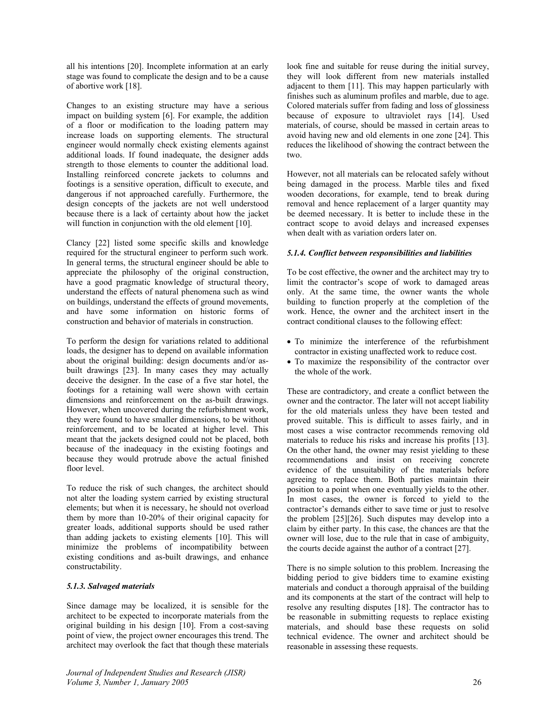all his intentions [20]. Incomplete information at an early stage was found to complicate the design and to be a cause of abortive work [18].

Changes to an existing structure may have a serious impact on building system [6]. For example, the addition of a floor or modification to the loading pattern may increase loads on supporting elements. The structural engineer would normally check existing elements against additional loads. If found inadequate, the designer adds strength to those elements to counter the additional load. Installing reinforced concrete jackets to columns and footings is a sensitive operation, difficult to execute, and dangerous if not approached carefully. Furthermore, the design concepts of the jackets are not well understood because there is a lack of certainty about how the jacket will function in conjunction with the old element [10].

Clancy [22] listed some specific skills and knowledge required for the structural engineer to perform such work. In general terms, the structural engineer should be able to appreciate the philosophy of the original construction, have a good pragmatic knowledge of structural theory, understand the effects of natural phenomena such as wind on buildings, understand the effects of ground movements, and have some information on historic forms of construction and behavior of materials in construction.

To perform the design for variations related to additional loads, the designer has to depend on available information about the original building: design documents and/or asbuilt drawings [23]. In many cases they may actually deceive the designer. In the case of a five star hotel, the footings for a retaining wall were shown with certain dimensions and reinforcement on the as-built drawings. However, when uncovered during the refurbishment work, they were found to have smaller dimensions, to be without reinforcement, and to be located at higher level. This meant that the jackets designed could not be placed, both because of the inadequacy in the existing footings and because they would protrude above the actual finished floor level.

To reduce the risk of such changes, the architect should not alter the loading system carried by existing structural elements; but when it is necessary, he should not overload them by more than 10-20% of their original capacity for greater loads, additional supports should be used rather than adding jackets to existing elements [10]. This will minimize the problems of incompatibility between existing conditions and as-built drawings, and enhance constructability.

## *5.1.3. Salvaged materials*

Since damage may be localized, it is sensible for the architect to be expected to incorporate materials from the original building in his design [10]. From a cost-saving point of view, the project owner encourages this trend. The architect may overlook the fact that though these materials look fine and suitable for reuse during the initial survey, they will look different from new materials installed adjacent to them [11]. This may happen particularly with finishes such as aluminum profiles and marble, due to age. Colored materials suffer from fading and loss of glossiness because of exposure to ultraviolet rays [14]. Used materials, of course, should be massed in certain areas to avoid having new and old elements in one zone [24]. This reduces the likelihood of showing the contract between the two.

However, not all materials can be relocated safely without being damaged in the process. Marble tiles and fixed wooden decorations, for example, tend to break during removal and hence replacement of a larger quantity may be deemed necessary. It is better to include these in the contract scope to avoid delays and increased expenses when dealt with as variation orders later on.

## *5.1.4. Conflict between responsibilities and liabilities*

To be cost effective, the owner and the architect may try to limit the contractor's scope of work to damaged areas only. At the same time, the owner wants the whole building to function properly at the completion of the work. Hence, the owner and the architect insert in the contract conditional clauses to the following effect:

- To minimize the interference of the refurbishment contractor in existing unaffected work to reduce cost.
- To maximize the responsibility of the contractor over the whole of the work.

These are contradictory, and create a conflict between the owner and the contractor. The later will not accept liability for the old materials unless they have been tested and proved suitable. This is difficult to asses fairly, and in most cases a wise contractor recommends removing old materials to reduce his risks and increase his profits [13]. On the other hand, the owner may resist yielding to these recommendations and insist on receiving concrete evidence of the unsuitability of the materials before agreeing to replace them. Both parties maintain their position to a point when one eventually yields to the other. In most cases, the owner is forced to yield to the contractor's demands either to save time or just to resolve the problem [25][26]. Such disputes may develop into a claim by either party. In this case, the chances are that the owner will lose, due to the rule that in case of ambiguity, the courts decide against the author of a contract [27].

There is no simple solution to this problem. Increasing the bidding period to give bidders time to examine existing materials and conduct a thorough appraisal of the building and its components at the start of the contract will help to resolve any resulting disputes [18]. The contractor has to be reasonable in submitting requests to replace existing materials, and should base these requests on solid technical evidence. The owner and architect should be reasonable in assessing these requests.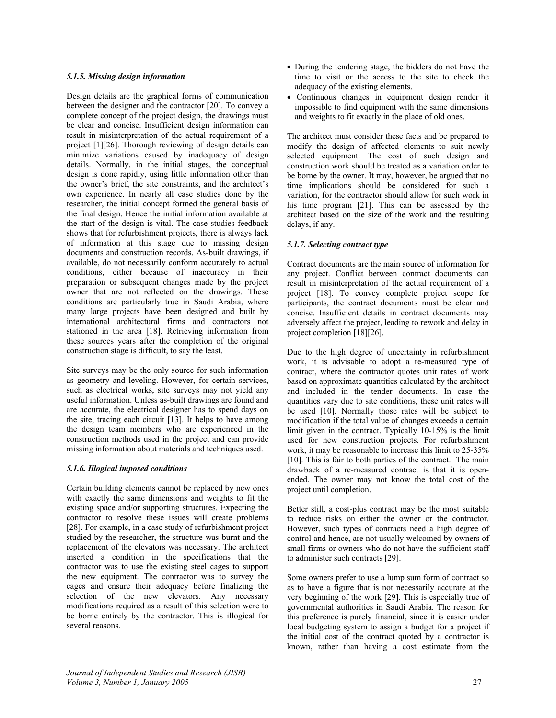## *5.1.5. Missing design information*

Design details are the graphical forms of communication between the designer and the contractor [20]. To convey a complete concept of the project design, the drawings must be clear and concise. Insufficient design information can result in misinterpretation of the actual requirement of a project [1][26]. Thorough reviewing of design details can minimize variations caused by inadequacy of design details. Normally, in the initial stages, the conceptual design is done rapidly, using little information other than the owner's brief, the site constraints, and the architect's own experience. In nearly all case studies done by the researcher, the initial concept formed the general basis of the final design. Hence the initial information available at the start of the design is vital. The case studies feedback shows that for refurbishment projects, there is always lack of information at this stage due to missing design documents and construction records. As-built drawings, if available, do not necessarily conform accurately to actual conditions, either because of inaccuracy in their preparation or subsequent changes made by the project owner that are not reflected on the drawings. These conditions are particularly true in Saudi Arabia, where many large projects have been designed and built by international architectural firms and contractors not stationed in the area [18]. Retrieving information from these sources years after the completion of the original construction stage is difficult, to say the least.

Site surveys may be the only source for such information as geometry and leveling. However, for certain services, such as electrical works, site surveys may not yield any useful information. Unless as-built drawings are found and are accurate, the electrical designer has to spend days on the site, tracing each circuit [13]. It helps to have among the design team members who are experienced in the construction methods used in the project and can provide missing information about materials and techniques used.

## *5.1.6. Illogical imposed conditions*

Certain building elements cannot be replaced by new ones with exactly the same dimensions and weights to fit the existing space and/or supporting structures. Expecting the contractor to resolve these issues will create problems [28]. For example, in a case study of refurbishment project studied by the researcher, the structure was burnt and the replacement of the elevators was necessary. The architect inserted a condition in the specifications that the contractor was to use the existing steel cages to support the new equipment. The contractor was to survey the cages and ensure their adequacy before finalizing the selection of the new elevators. Any necessary modifications required as a result of this selection were to be borne entirely by the contractor. This is illogical for several reasons.

- During the tendering stage, the bidders do not have the time to visit or the access to the site to check the adequacy of the existing elements.
- Continuous changes in equipment design render it impossible to find equipment with the same dimensions and weights to fit exactly in the place of old ones.

The architect must consider these facts and be prepared to modify the design of affected elements to suit newly selected equipment. The cost of such design and construction work should be treated as a variation order to be borne by the owner. It may, however, be argued that no time implications should be considered for such a variation, for the contractor should allow for such work in his time program [21]. This can be assessed by the architect based on the size of the work and the resulting delays, if any.

## *5.1.7. Selecting contract type*

Contract documents are the main source of information for any project. Conflict between contract documents can result in misinterpretation of the actual requirement of a project [18]. To convey complete project scope for participants, the contract documents must be clear and concise. Insufficient details in contract documents may adversely affect the project, leading to rework and delay in project completion [18][26].

Due to the high degree of uncertainty in refurbishment work, it is advisable to adopt a re-measured type of contract, where the contractor quotes unit rates of work based on approximate quantities calculated by the architect and included in the tender documents. In case the quantities vary due to site conditions, these unit rates will be used [10]. Normally those rates will be subject to modification if the total value of changes exceeds a certain limit given in the contract. Typically 10-15% is the limit used for new construction projects. For refurbishment work, it may be reasonable to increase this limit to 25-35% [10]. This is fair to both parties of the contract. The main drawback of a re-measured contract is that it is openended. The owner may not know the total cost of the project until completion.

Better still, a cost-plus contract may be the most suitable to reduce risks on either the owner or the contractor. However, such types of contracts need a high degree of control and hence, are not usually welcomed by owners of small firms or owners who do not have the sufficient staff to administer such contracts [29].

Some owners prefer to use a lump sum form of contract so as to have a figure that is not necessarily accurate at the very beginning of the work [29]. This is especially true of governmental authorities in Saudi Arabia. The reason for this preference is purely financial, since it is easier under local budgeting system to assign a budget for a project if the initial cost of the contract quoted by a contractor is known, rather than having a cost estimate from the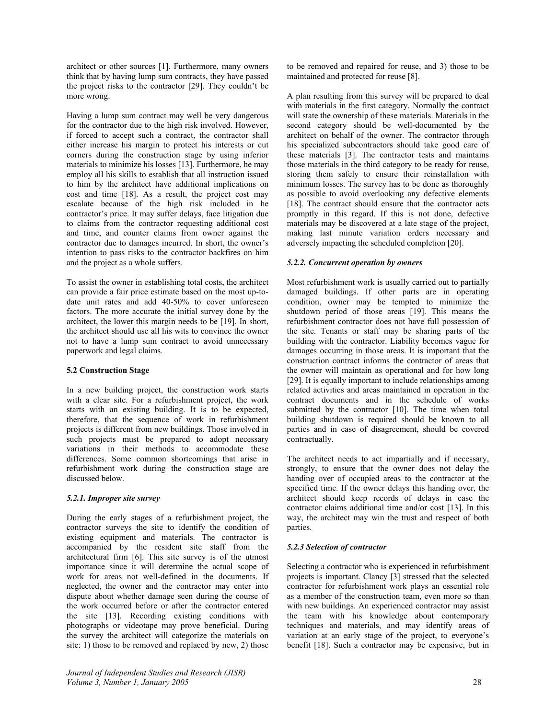architect or other sources [1]. Furthermore, many owners think that by having lump sum contracts, they have passed the project risks to the contractor [29]. They couldn't be more wrong.

Having a lump sum contract may well be very dangerous for the contractor due to the high risk involved. However, if forced to accept such a contract, the contractor shall either increase his margin to protect his interests or cut corners during the construction stage by using inferior materials to minimize his losses [13]. Furthermore, he may employ all his skills to establish that all instruction issued to him by the architect have additional implications on cost and time [18]. As a result, the project cost may escalate because of the high risk included in he contractor's price. It may suffer delays, face litigation due to claims from the contractor requesting additional cost and time, and counter claims from owner against the contractor due to damages incurred. In short, the owner's intention to pass risks to the contractor backfires on him and the project as a whole suffers.

To assist the owner in establishing total costs, the architect can provide a fair price estimate based on the most up-todate unit rates and add 40-50% to cover unforeseen factors. The more accurate the initial survey done by the architect, the lower this margin needs to be [19]. In short, the architect should use all his wits to convince the owner not to have a lump sum contract to avoid unnecessary paperwork and legal claims.

## **5.2 Construction Stage**

In a new building project, the construction work starts with a clear site. For a refurbishment project, the work starts with an existing building. It is to be expected, therefore, that the sequence of work in refurbishment projects is different from new buildings. Those involved in such projects must be prepared to adopt necessary variations in their methods to accommodate these differences. Some common shortcomings that arise in refurbishment work during the construction stage are discussed below.

## *5.2.1. Improper site survey*

During the early stages of a refurbishment project, the contractor surveys the site to identify the condition of existing equipment and materials. The contractor is accompanied by the resident site staff from the architectural firm [6]. This site survey is of the utmost importance since it will determine the actual scope of work for areas not well-defined in the documents. If neglected, the owner and the contractor may enter into dispute about whether damage seen during the course of the work occurred before or after the contractor entered the site [13]. Recording existing conditions with photographs or videotape may prove beneficial. During the survey the architect will categorize the materials on site: 1) those to be removed and replaced by new, 2) those

*Journal of Independent Studies and Research (JISR) Volume 3, Number 1, January 2005* 28

to be removed and repaired for reuse, and 3) those to be maintained and protected for reuse [8].

A plan resulting from this survey will be prepared to deal with materials in the first category. Normally the contract will state the ownership of these materials. Materials in the second category should be well-documented by the architect on behalf of the owner. The contractor through his specialized subcontractors should take good care of these materials [3]. The contractor tests and maintains those materials in the third category to be ready for reuse, storing them safely to ensure their reinstallation with minimum losses. The survey has to be done as thoroughly as possible to avoid overlooking any defective elements [18]. The contract should ensure that the contractor acts promptly in this regard. If this is not done, defective materials may be discovered at a late stage of the project, making last minute variation orders necessary and adversely impacting the scheduled completion [20].

## *5.2.2. Concurrent operation by owners*

Most refurbishment work is usually carried out to partially damaged buildings. If other parts are in operating condition, owner may be tempted to minimize the shutdown period of those areas [19]. This means the refurbishment contractor does not have full possession of the site. Tenants or staff may be sharing parts of the building with the contractor. Liability becomes vague for damages occurring in those areas. It is important that the construction contract informs the contractor of areas that the owner will maintain as operational and for how long [29]. It is equally important to include relationships among related activities and areas maintained in operation in the contract documents and in the schedule of works submitted by the contractor [10]. The time when total building shutdown is required should be known to all parties and in case of disagreement, should be covered contractually.

The architect needs to act impartially and if necessary, strongly, to ensure that the owner does not delay the handing over of occupied areas to the contractor at the specified time. If the owner delays this handing over, the architect should keep records of delays in case the contractor claims additional time and/or cost [13]. In this way, the architect may win the trust and respect of both parties.

## *5.2.3 Selection of contractor*

Selecting a contractor who is experienced in refurbishment projects is important. Clancy [3] stressed that the selected contractor for refurbishment work plays an essential role as a member of the construction team, even more so than with new buildings. An experienced contractor may assist the team with his knowledge about contemporary techniques and materials, and may identify areas of variation at an early stage of the project, to everyone's benefit [18]. Such a contractor may be expensive, but in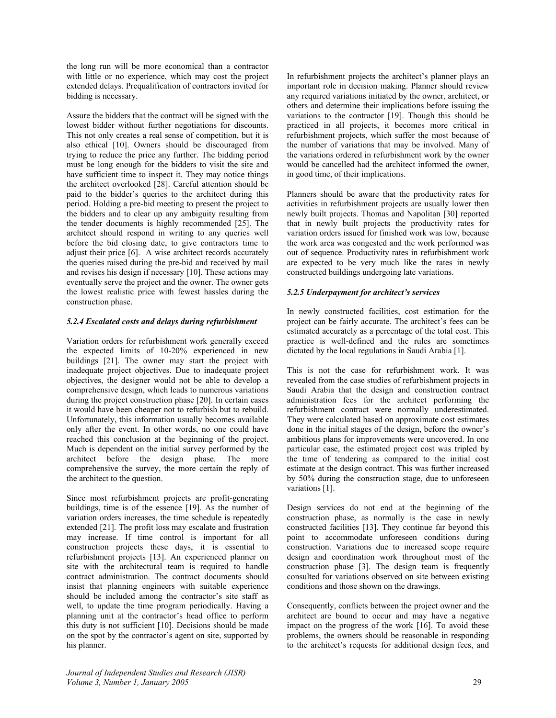the long run will be more economical than a contractor with little or no experience, which may cost the project extended delays. Prequalification of contractors invited for bidding is necessary.

Assure the bidders that the contract will be signed with the lowest bidder without further negotiations for discounts. This not only creates a real sense of competition, but it is also ethical [10]. Owners should be discouraged from trying to reduce the price any further. The bidding period must be long enough for the bidders to visit the site and have sufficient time to inspect it. They may notice things the architect overlooked [28]. Careful attention should be paid to the bidder's queries to the architect during this period. Holding a pre-bid meeting to present the project to the bidders and to clear up any ambiguity resulting from the tender documents is highly recommended [25]. The architect should respond in writing to any queries well before the bid closing date, to give contractors time to adjust their price [6]. A wise architect records accurately the queries raised during the pre-bid and received by mail and revises his design if necessary [10]. These actions may eventually serve the project and the owner. The owner gets the lowest realistic price with fewest hassles during the construction phase.

## *5.2.4 Escalated costs and delays during refurbishment*

Variation orders for refurbishment work generally exceed the expected limits of 10-20% experienced in new buildings [21]. The owner may start the project with inadequate project objectives. Due to inadequate project objectives, the designer would not be able to develop a comprehensive design, which leads to numerous variations during the project construction phase [20]. In certain cases it would have been cheaper not to refurbish but to rebuild. Unfortunately, this information usually becomes available only after the event. In other words, no one could have reached this conclusion at the beginning of the project. Much is dependent on the initial survey performed by the architect before the design phase. The more comprehensive the survey, the more certain the reply of the architect to the question.

Since most refurbishment projects are profit-generating buildings, time is of the essence [19]. As the number of variation orders increases, the time schedule is repeatedly extended [21]. The profit loss may escalate and frustration may increase. If time control is important for all construction projects these days, it is essential to refurbishment projects [13]. An experienced planner on site with the architectural team is required to handle contract administration. The contract documents should insist that planning engineers with suitable experience should be included among the contractor's site staff as well, to update the time program periodically. Having a planning unit at the contractor's head office to perform this duty is not sufficient [10]. Decisions should be made on the spot by the contractor's agent on site, supported by his planner.

In refurbishment projects the architect's planner plays an important role in decision making. Planner should review any required variations initiated by the owner, architect, or others and determine their implications before issuing the variations to the contractor [19]. Though this should be practiced in all projects, it becomes more critical in refurbishment projects, which suffer the most because of the number of variations that may be involved. Many of the variations ordered in refurbishment work by the owner would be cancelled had the architect informed the owner, in good time, of their implications.

Planners should be aware that the productivity rates for activities in refurbishment projects are usually lower then newly built projects. Thomas and Napolitan [30] reported that in newly built projects the productivity rates for variation orders issued for finished work was low, because the work area was congested and the work performed was out of sequence. Productivity rates in refurbishment work are expected to be very much like the rates in newly constructed buildings undergoing late variations.

## *5.2.5 Underpayment for architect's services*

In newly constructed facilities, cost estimation for the project can be fairly accurate. The architect's fees can be estimated accurately as a percentage of the total cost. This practice is well-defined and the rules are sometimes dictated by the local regulations in Saudi Arabia [1].

This is not the case for refurbishment work. It was revealed from the case studies of refurbishment projects in Saudi Arabia that the design and construction contract administration fees for the architect performing the refurbishment contract were normally underestimated. They were calculated based on approximate cost estimates done in the initial stages of the design, before the owner's ambitious plans for improvements were uncovered. In one particular case, the estimated project cost was tripled by the time of tendering as compared to the initial cost estimate at the design contract. This was further increased by 50% during the construction stage, due to unforeseen variations [1].

Design services do not end at the beginning of the construction phase, as normally is the case in newly constructed facilities [13]. They continue far beyond this point to accommodate unforeseen conditions during construction. Variations due to increased scope require design and coordination work throughout most of the construction phase [3]. The design team is frequently consulted for variations observed on site between existing conditions and those shown on the drawings.

Consequently, conflicts between the project owner and the architect are bound to occur and may have a negative impact on the progress of the work [16]. To avoid these problems, the owners should be reasonable in responding to the architect's requests for additional design fees, and

*Journal of Independent Studies and Research (JISR) Volume 3, Number 1, January 2005* 29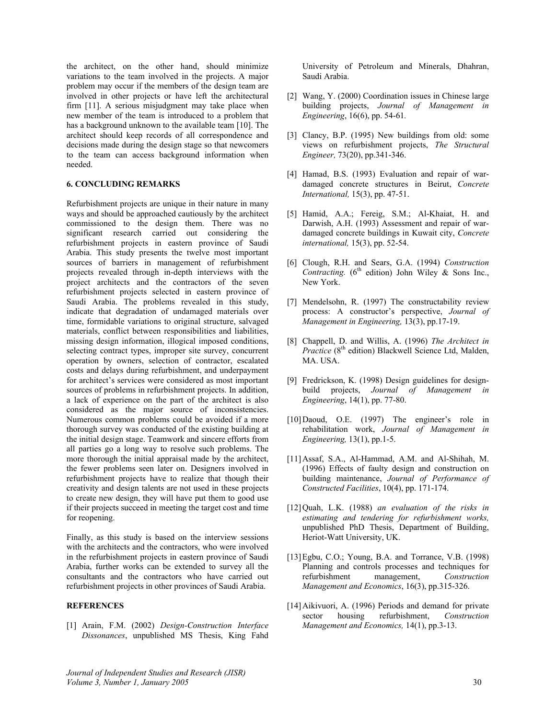the architect, on the other hand, should minimize variations to the team involved in the projects. A major problem may occur if the members of the design team are involved in other projects or have left the architectural firm [11]. A serious misjudgment may take place when new member of the team is introduced to a problem that has a background unknown to the available team [10]. The architect should keep records of all correspondence and decisions made during the design stage so that newcomers to the team can access background information when needed.

### **6. CONCLUDING REMARKS**

Refurbishment projects are unique in their nature in many ways and should be approached cautiously by the architect commissioned to the design them. There was no significant research carried out considering the refurbishment projects in eastern province of Saudi Arabia. This study presents the twelve most important sources of barriers in management of refurbishment projects revealed through in-depth interviews with the project architects and the contractors of the seven refurbishment projects selected in eastern province of Saudi Arabia. The problems revealed in this study, indicate that degradation of undamaged materials over time, formidable variations to original structure, salvaged materials, conflict between responsibilities and liabilities, missing design information, illogical imposed conditions, selecting contract types, improper site survey, concurrent operation by owners, selection of contractor, escalated costs and delays during refurbishment, and underpayment for architect's services were considered as most important sources of problems in refurbishment projects. In addition, a lack of experience on the part of the architect is also considered as the major source of inconsistencies. Numerous common problems could be avoided if a more thorough survey was conducted of the existing building at the initial design stage. Teamwork and sincere efforts from all parties go a long way to resolve such problems. The more thorough the initial appraisal made by the architect, the fewer problems seen later on. Designers involved in refurbishment projects have to realize that though their creativity and design talents are not used in these projects to create new design, they will have put them to good use if their projects succeed in meeting the target cost and time for reopening.

Finally, as this study is based on the interview sessions with the architects and the contractors, who were involved in the refurbishment projects in eastern province of Saudi Arabia, further works can be extended to survey all the consultants and the contractors who have carried out refurbishment projects in other provinces of Saudi Arabia.

### **REFERENCES**

[1] Arain, F.M. (2002) *Design-Construction Interface Dissonances*, unpublished MS Thesis, King Fahd

University of Petroleum and Minerals, Dhahran, Saudi Arabia.

- [2] Wang, Y. (2000) Coordination issues in Chinese large building projects, *Journal of Management in Engineering*, 16(6), pp. 54-61*.*
- [3] Clancy, B.P. (1995) New buildings from old: some views on refurbishment projects, *The Structural Engineer,* 73(20), pp.341-346.
- [4] Hamad, B.S. (1993) Evaluation and repair of wardamaged concrete structures in Beirut, *Concrete International,* 15(3), pp. 47-51.
- [5] Hamid, A.A.; Fereig, S.M.; Al-Khaiat, H. and Darwish, A.H. (1993) Assessment and repair of wardamaged concrete buildings in Kuwait city, *Concrete international,* 15(3), pp. 52-54.
- [6] Clough, R.H. and Sears, G.A. (1994) *Construction Contracting.*  $(6^{th}$  edition) John Wiley & Sons Inc., New York.
- [7] Mendelsohn, R. (1997) The constructability review process: A constructor's perspective, *Journal of Management in Engineering,* 13(3), pp.17-19.
- [8] Chappell, D. and Willis, A. (1996) *The Architect in Practice* (8<sup>th</sup> edition) Blackwell Science Ltd, Malden, MA. USA.
- [9] Fredrickson, K. (1998) Design guidelines for designbuild projects, *Journal of Management in Engineering*, 14(1), pp. 77-80.
- [10] Daoud, O.E. (1997) The engineer's role in rehabilitation work, *Journal of Management in Engineering,* 13(1), pp.1-5.
- [11] Assaf, S.A., Al-Hammad, A.M. and Al-Shihah, M. (1996) Effects of faulty design and construction on building maintenance, *Journal of Performance of Constructed Facilities*, 10(4), pp. 171-174.
- [12] Quah, L.K. (1988) *an evaluation of the risks in estimating and tendering for refurbishment works,* unpublished PhD Thesis, Department of Building, Heriot-Watt University, UK.
- [13] Egbu, C.O.; Young, B.A. and Torrance, V.B. (1998) Planning and controls processes and techniques for refurbishment management, *Construction Management and Economics*, 16(3), pp.315-326.
- [14] Aikivuori, A. (1996) Periods and demand for private sector housing refurbishment, *Construction Management and Economics,* 14(1), pp.3-13.